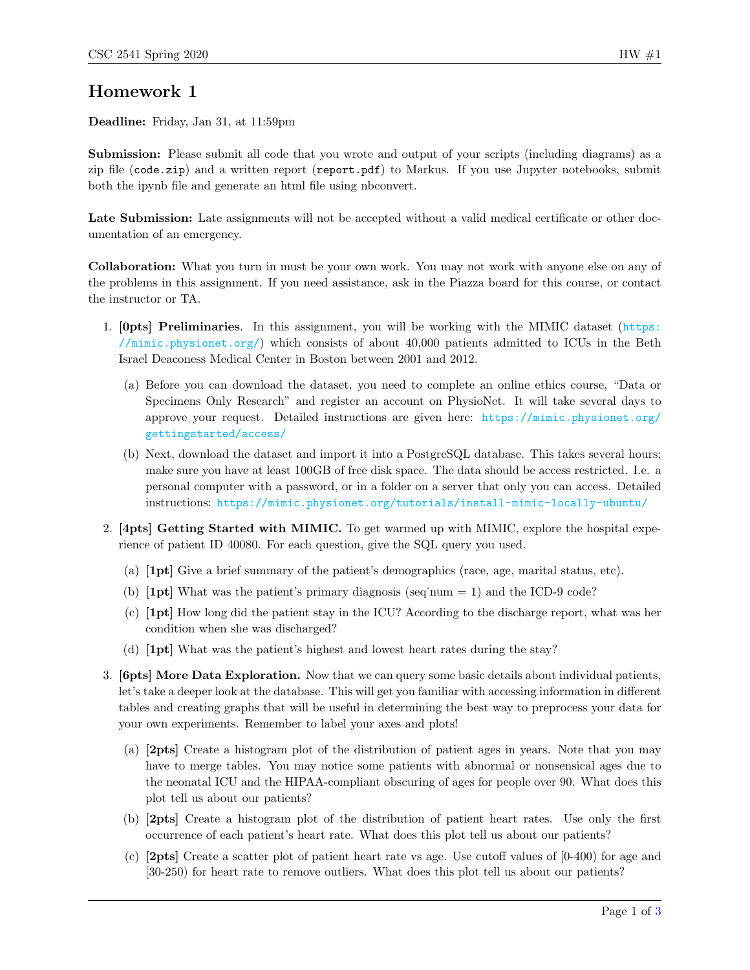## Homework 1

Deadline: Friday, Jan 31, at 11:59pm

Submission: Please submit all code that you wrote and output of your scripts (including diagrams) as a zip file (code.zip) and a written report (report.pdf) to Markus. If you use Jupyter notebooks, submit both the ipynb file and generate an html file using nbconvert.

Late Submission: Late assignments will not be accepted without a valid medical certificate or other documentation of an emergency.

Collaboration: What you turn in must be your own work. You may not work with anyone else on any of the problems in this assignment. If you need assistance, ask in the Piazza board for this course, or contact the instructor or TA.

- 1. [0pts] Preliminaries. In this assignment, you will be working with the MIMIC dataset ([https:](https://mimic.physionet.org/) [//mimic.physionet.org/](https://mimic.physionet.org/)) which consists of about  $40,000$  patients admitted to ICUs in the Beth Israel Deaconess Medical Center in Boston between 2001 and 2012.
	- (a) Before you can download the dataset, you need to complete an online ethics course, "Data or Specimens Only Research" and register an account on PhysioNet. It will take several days to approve your request. Detailed instructions are given here: [https://mimic.physionet.org/](https://mimic.physionet.org/gettingstarted/access/) [gettingstarted/access/](https://mimic.physionet.org/gettingstarted/access/)
	- (b) Next, download the dataset and import it into a PostgreSQL database. This takes several hours; make sure you have at least 100GB of free disk space. The data should be access restricted. I.e. a personal computer with a password, or in a folder on a server that only you can access. Detailed instructions: <https://mimic.physionet.org/tutorials/install-mimic-locally-ubuntu/>
- 2. [4pts] Getting Started with MIMIC. To get warmed up with MIMIC, explore the hospital experience of patient ID 40080. For each question, give the SQL query you used.
	- (a) [1pt] Give a brief summary of the patient's demographics (race, age, marital status, etc).
	- (b)  $[1pt]$  What was the patient's primary diagnosis (seq num = 1) and the ICD-9 code?
	- (c) [1pt] How long did the patient stay in the ICU? According to the discharge report, what was her condition when she was discharged?
	- (d) [1pt] What was the patient's highest and lowest heart rates during the stay?
- 3. [6pts] More Data Exploration. Now that we can query some basic details about individual patients, let's take a deeper look at the database. This will get you familiar with accessing information in different tables and creating graphs that will be useful in determining the best way to preprocess your data for your own experiments. Remember to label your axes and plots!
	- (a) [2pts] Create a histogram plot of the distribution of patient ages in years. Note that you may have to merge tables. You may notice some patients with abnormal or nonsensical ages due to the neonatal ICU and the HIPAA-compliant obscuring of ages for people over 90. What does this plot tell us about our patients?
	- (b) [2pts] Create a histogram plot of the distribution of patient heart rates. Use only the first occurrence of each patient's heart rate. What does this plot tell us about our patients?
	- (c) [2pts] Create a scatter plot of patient heart rate vs age. Use cutoff values of [0-400) for age and [30-250) for heart rate to remove outliers. What does this plot tell us about our patients?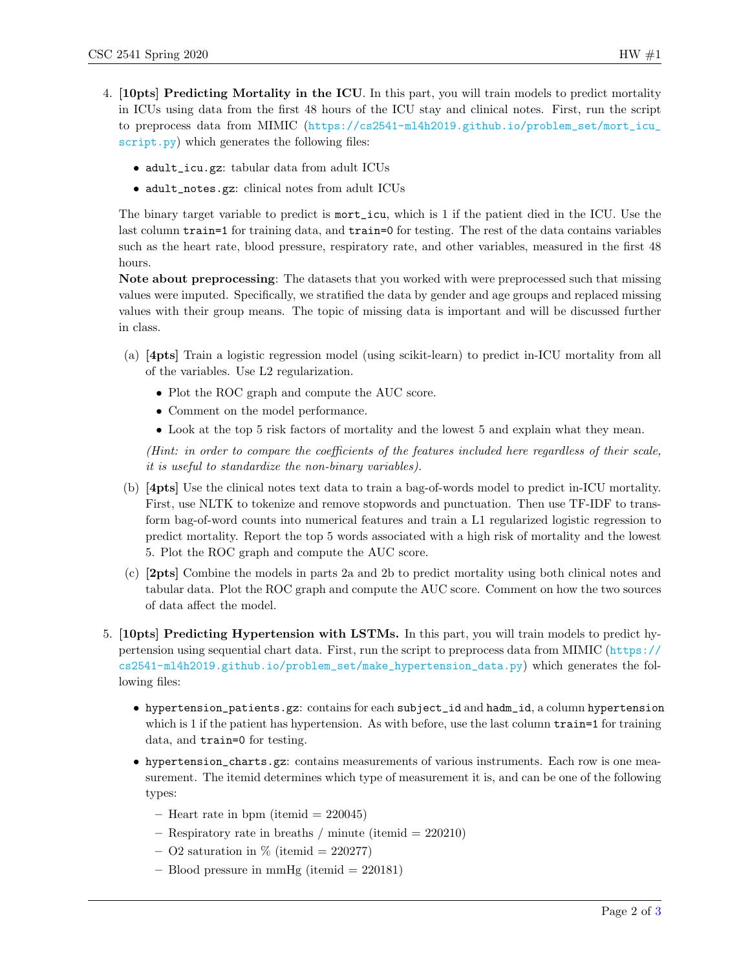- 4. [10pts] Predicting Mortality in the ICU. In this part, you will train models to predict mortality in ICUs using data from the first 48 hours of the ICU stay and clinical notes. First, run the script to preprocess data from MIMIC ([https://cs2541-ml4h2019.github.io/problem\\_set/mort\\_icu\\_](https://cs2541-ml4h2019.github.io/problem_set/mort_icu_script.py) [script.py](https://cs2541-ml4h2019.github.io/problem_set/mort_icu_script.py)) which generates the following files:
	- adult\_icu.gz: tabular data from adult ICUs
	- adult\_notes.gz: clinical notes from adult ICUs

The binary target variable to predict is mort\_icu, which is 1 if the patient died in the ICU. Use the last column train=1 for training data, and train=0 for testing. The rest of the data contains variables such as the heart rate, blood pressure, respiratory rate, and other variables, measured in the first 48 hours.

Note about preprocessing: The datasets that you worked with were preprocessed such that missing values were imputed. Specifically, we stratified the data by gender and age groups and replaced missing values with their group means. The topic of missing data is important and will be discussed further in class.

- (a) [4pts] Train a logistic regression model (using scikit-learn) to predict in-ICU mortality from all of the variables. Use L2 regularization.
	- Plot the ROC graph and compute the AUC score.
	- Comment on the model performance.
	- Look at the top 5 risk factors of mortality and the lowest 5 and explain what they mean.

(Hint: in order to compare the coefficients of the features included here regardless of their scale, it is useful to standardize the non-binary variables).

- (b) [4pts] Use the clinical notes text data to train a bag-of-words model to predict in-ICU mortality. First, use NLTK to tokenize and remove stopwords and punctuation. Then use TF-IDF to transform bag-of-word counts into numerical features and train a L1 regularized logistic regression to predict mortality. Report the top 5 words associated with a high risk of mortality and the lowest 5. Plot the ROC graph and compute the AUC score.
- (c) [2pts] Combine the models in parts 2a and 2b to predict mortality using both clinical notes and tabular data. Plot the ROC graph and compute the AUC score. Comment on how the two sources of data affect the model.
- 5. [10pts] Predicting Hypertension with LSTMs. In this part, you will train models to predict hypertension using sequential chart data. First, run the script to preprocess data from MIMIC ([https://](https://cs2541-ml4h2019.github.io/problem_set/make_hypertension_data.py) [cs2541-ml4h2019.github.io/problem\\_set/make\\_hypertension\\_data.py](https://cs2541-ml4h2019.github.io/problem_set/make_hypertension_data.py)) which generates the following files:
	- hypertension\_patients.gz: contains for each subject\_id and hadm\_id, a column hypertension which is 1 if the patient has hypertension. As with before, use the last column train-1 for training data, and train=0 for testing.
	- hypertension\_charts.gz: contains measurements of various instruments. Each row is one measurement. The itemid determines which type of measurement it is, and can be one of the following types:
		- Heart rate in bpm (itemid  $= 220045$ )
		- $-$  Respiratory rate in breaths / minute (itemid  $= 220210$ )
		- O2 saturation in  $\%$  (itemid = 220277)
		- $-$  Blood pressure in mmHg (itemid  $= 220181$ )